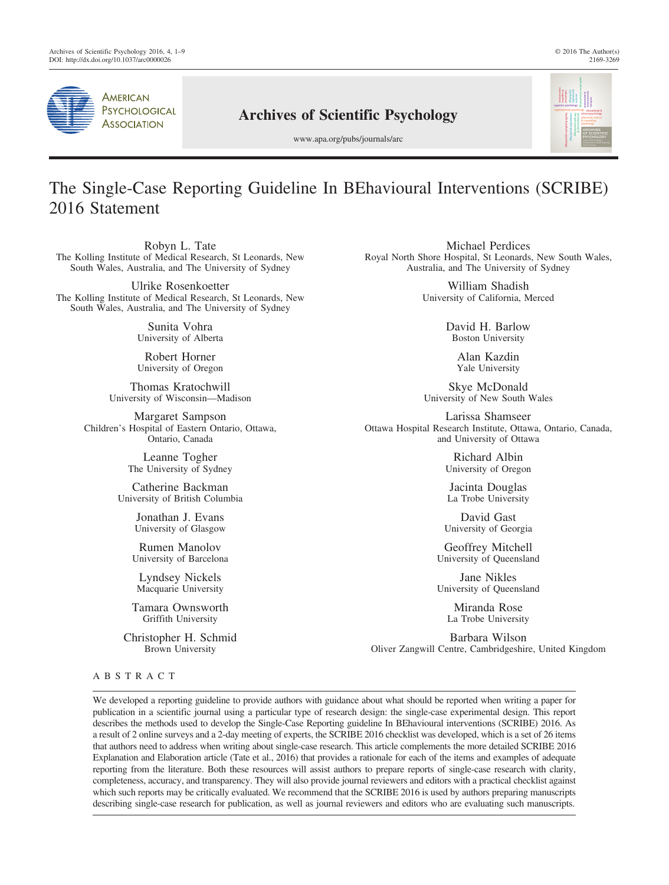# **Archives of Scientific Psychology**

www.apa.org/pubs/journals/arc

# The Single-Case Reporting Guideline In BEhavioural Interventions (SCRIBE) 2016 Statement

Robyn L. Tate The Kolling Institute of Medical Research, St Leonards, New South Wales, Australia, and The University of Sydney

Ulrike Rosenkoetter The Kolling Institute of Medical Research, St Leonards, New South Wales, Australia, and The University of Sydney

> Sunita Vohra University of Alberta

> Robert Horner University of Oregon

Thomas Kratochwill University of Wisconsin—Madison

Margaret Sampson Children's Hospital of Eastern Ontario, Ottawa, Ontario, Canada

> Leanne Togher The University of Sydney

Catherine Backman University of British Columbia

> Jonathan J. Evans University of Glasgow

Rumen Manolov University of Barcelona

Lyndsey Nickels Macquarie University

Tamara Ownsworth Griffith University

Christopher H. Schmid Brown University

Michael Perdices Royal North Shore Hospital, St Leonards, New South Wales, Australia, and The University of Sydney

> William Shadish University of California, Merced

> > David H. Barlow Boston University

> > > Alan Kazdin Yale University

Skye McDonald University of New South Wales

Larissa Shamseer Ottawa Hospital Research Institute, Ottawa, Ontario, Canada, and University of Ottawa

> Richard Albin University of Oregon

Jacinta Douglas La Trobe University

David Gast University of Georgia

Geoffrey Mitchell University of Queensland

Jane Nikles University of Queensland

Miranda Rose La Trobe University

Barbara Wilson Oliver Zangwill Centre, Cambridgeshire, United Kingdom

ABSTRACT

We developed a reporting guideline to provide authors with guidance about what should be reported when writing a paper for publication in a scientific journal using a particular type of research design: the single-case experimental design. This report describes the methods used to develop the Single-Case Reporting guideline In BEhavioural interventions (SCRIBE) 2016. As a result of 2 online surveys and a 2-day meeting of experts, the SCRIBE 2016 checklist was developed, which is a set of 26 items that authors need to address when writing about single-case research. This article complements the more detailed SCRIBE 2016 Explanation and Elaboration article [\(Tate et al., 2016\)](#page-8-0) that provides a rationale for each of the items and examples of adequate reporting from the literature. Both these resources will assist authors to prepare reports of single-case research with clarity, completeness, accuracy, and transparency. They will also provide journal reviewers and editors with a practical checklist against which such reports may be critically evaluated. We recommend that the SCRIBE 2016 is used by authors preparing manuscripts describing single-case research for publication, as well as journal reviewers and editors who are evaluating such manuscripts.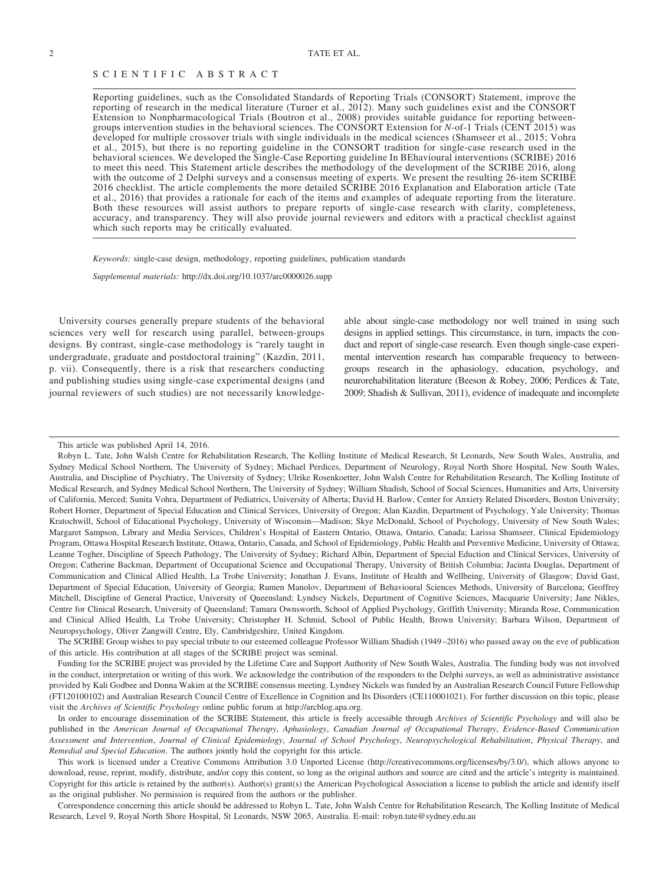# SCIENTIFIC ABSTRACT

Reporting guidelines, such as the Consolidated Standards of Reporting Trials (CONSORT) Statement, improve the reporting of research in the medical literature [\(Turner et al., 2012\)](#page-8-1). Many such guidelines exist and the CONSORT Extension to Nonpharmacological Trials [\(Boutron et al., 2008\)](#page-8-2) provides suitable guidance for reporting betweengroups intervention studies in the behavioral sciences. The CONSORT Extension for *N*-of-1 Trials (CENT 2015) was developed for multiple crossover trials with single individuals in the medical sciences [\(Shamseer et al., 2015;](#page-8-3) [Vohra](#page-8-4) [et al., 2015\)](#page-8-4), but there is no reporting guideline in the CONSORT tradition for single-case research used in the behavioral sciences. We developed the Single-Case Reporting guideline In BEhavioural interventions (SCRIBE) 2016 to meet this need. This Statement article describes the methodology of the development of the SCRIBE 2016, along with the outcome of 2 Delphi surveys and a consensus meeting of experts. We present the resulting 26-item SCRIBE 2016 checklist. The article complements the more detailed SCRIBE 2016 Explanation and Elaboration article [\(Tate](#page-8-0) [et al., 2016\)](#page-8-0) that provides a rationale for each of the items and examples of adequate reporting from the literature. Both these resources will assist authors to prepare reports of single-case research with clarity, completeness, accuracy, and transparency. They will also provide journal reviewers and editors with a practical checklist against which such reports may be critically evaluated.

*Keywords:* single-case design, methodology, reporting guidelines, publication standards

*Supplemental materials:* http://dx.doi.org[/10.1037/arc0000026.supp](http://dx.doi.org/10.1037/arc0000026.supp)

University courses generally prepare students of the behavioral sciences very well for research using parallel, between-groups designs. By contrast, single-case methodology is "rarely taught in undergraduate, graduate and postdoctoral training" [\(Kazdin, 2011,](#page-8-5) p. vii). Consequently, there is a risk that researchers conducting and publishing studies using single-case experimental designs (and journal reviewers of such studies) are not necessarily knowledgeable about single-case methodology nor well trained in using such designs in applied settings. This circumstance, in turn, impacts the conduct and report of single-case research. Even though single-case experimental intervention research has comparable frequency to betweengroups research in the aphasiology, education, psychology, and neurorehabilitation literature [\(Beeson & Robey, 2006;](#page-8-6) [Perdices & Tate,](#page-8-7) [2009;](#page-8-7) [Shadish & Sullivan, 2011\)](#page-8-8), evidence of inadequate and incomplete

The SCRIBE Group wishes to pay special tribute to our esteemed colleague Professor William Shadish (1949 –2016) who passed away on the eve of publication of this article. His contribution at all stages of the SCRIBE project was seminal.

Funding for the SCRIBE project was provided by the Lifetime Care and Support Authority of New South Wales, Australia. The funding body was not involved in the conduct, interpretation or writing of this work. We acknowledge the contribution of the responders to the Delphi surveys, as well as administrative assistance provided by Kali Godbee and Donna Wakim at the SCRIBE consensus meeting. Lyndsey Nickels was funded by an Australian Research Council Future Fellowship (FT120100102) and Australian Research Council Centre of Excellence in Cognition and Its Disorders (CE110001021). For further discussion on this topic, please visit the *Archives of Scientific Psychology* online public forum at [http://arcblog.apa.org.](http://arcblog.apa.org)

In order to encourage dissemination of the SCRIBE Statement, this article is freely accessible through *Archives of Scientific Psychology* and will also be published in the *American Journal of Occupational Therapy*, *Aphasiology*, *Canadian Journal of Occupational Therapy*, *Evidence-Based Communication Assessment and Intervention*, *Journal of Clinical Epidemiology*, *Journal of School Psychology*, *Neuropsychological Rehabilitation*, *Physical Therapy*, and *Remedial and Special Education*. The authors jointly hold the copyright for this article.

This work is licensed under a Creative Commons Attribution 3.0 Unported License [\(http://creativecommons.org/licenses/by/3.0/\)](http://creativecommons.org/licenses/by/3.0/), which allows anyone to download, reuse, reprint, modify, distribute, and/or copy this content, so long as the original authors and source are cited and the article's integrity is maintained. Copyright for this article is retained by the author(s). Author(s) grant(s) the American Psychological Association a license to publish the article and identify itself as the original publisher. No permission is required from the authors or the publisher.

Correspondence concerning this article should be addressed to Robyn L. Tate, John Walsh Centre for Rehabilitation Research, The Kolling Institute of Medical Research, Level 9, Royal North Shore Hospital, St Leonards, NSW 2065, Australia. E-mail: [robyn.tate@sydney.edu.au](mailto:robyn.tate@sydney.edu.au)

This article was published April 14, 2016.

Robyn L. Tate, John Walsh Centre for Rehabilitation Research, The Kolling Institute of Medical Research, St Leonards, New South Wales, Australia, and Sydney Medical School Northern, The University of Sydney; Michael Perdices, Department of Neurology, Royal North Shore Hospital, New South Wales, Australia, and Discipline of Psychiatry, The University of Sydney; Ulrike Rosenkoetter, John Walsh Centre for Rehabilitation Research, The Kolling Institute of Medical Research, and Sydney Medical School Northern, The University of Sydney; William Shadish, School of Social Sciences, Humanities and Arts, University of California, Merced; Sunita Vohra, Department of Pediatrics, University of Alberta; David H. Barlow, Center for Anxiety Related Disorders, Boston University; Robert Horner, Department of Special Education and Clinical Services, University of Oregon; Alan Kazdin, Department of Psychology, Yale University; Thomas Kratochwill, School of Educational Psychology, University of Wisconsin—Madison; Skye McDonald, School of Psychology, University of New South Wales; Margaret Sampson, Library and Media Services, Children's Hospital of Eastern Ontario, Ottawa, Ontario, Canada; Larissa Shamseer, Clinical Epidemiology Program, Ottawa Hospital Research Institute, Ottawa, Ontario, Canada, and School of Epidemiology, Public Health and Preventive Medicine, University of Ottawa; Leanne Togher, Discipline of Speech Pathology, The University of Sydney; Richard Albin, Department of Special Eduction and Clinical Services, University of Oregon; Catherine Backman, Department of Occupational Science and Occupational Therapy, University of British Columbia; Jacinta Douglas, Department of Communication and Clinical Allied Health, La Trobe University; Jonathan J. Evans, Institute of Health and Wellbeing, University of Glasgow; David Gast, Department of Special Education, University of Georgia; Rumen Manolov, Department of Behavioural Sciences Methods, University of Barcelona; Geoffrey Mitchell, Discipline of General Practice, University of Queensland; Lyndsey Nickels, Department of Cognitive Sciences, Macquarie University; Jane Nikles, Centre for Clinical Research, University of Queensland; Tamara Ownsworth, School of Applied Psychology, Griffith University; Miranda Rose, Communication and Clinical Allied Health, La Trobe University; Christopher H. Schmid, School of Public Health, Brown University; Barbara Wilson, Department of Neuropsychology, Oliver Zangwill Centre, Ely, Cambridgeshire, United Kingdom.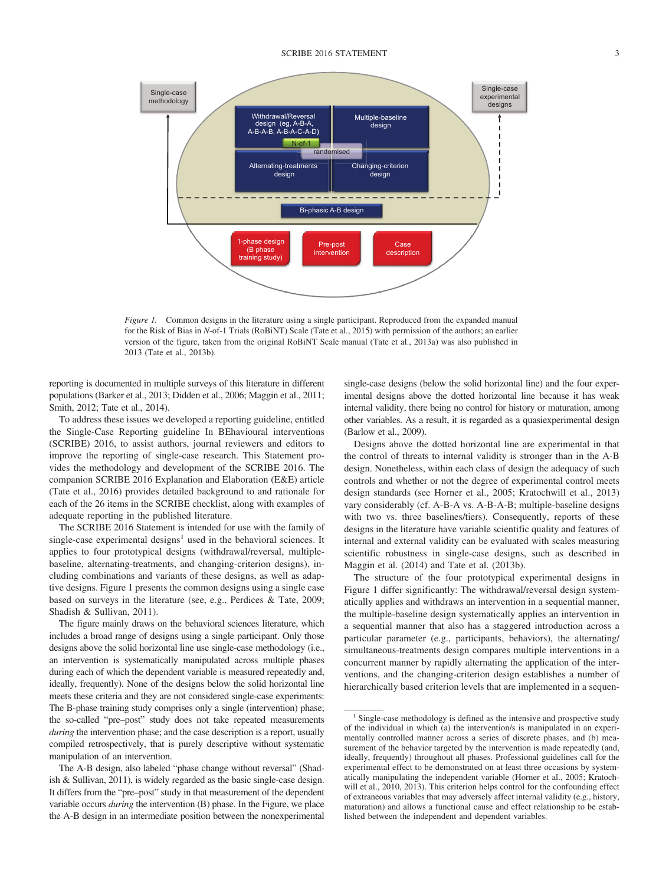

<span id="page-2-0"></span>*Figure 1.* Common designs in the literature using a single participant. Reproduced from the expanded manual for the Risk of Bias in *N*-of-1 Trials (RoBiNT) Scale [\(Tate et al., 2015\)](#page-8-3) with permission of the authors; an earlier version of the figure, taken from the original RoBiNT Scale manual [\(Tate et al., 2013a\)](#page-8-18) was also published in 2013 [\(Tate et al., 2013b\)](#page-8-16).

reporting is documented in multiple surveys of this literature in different populations [\(Barker et al., 2013;](#page-7-0) [Didden et al., 2006;](#page-8-9) [Maggin et al., 2011;](#page-8-10) [Smith, 2012;](#page-8-11) [Tate et al., 2014\)](#page-8-12).

To address these issues we developed a reporting guideline, entitled the Single-Case Reporting guideline In BEhavioural interventions (SCRIBE) 2016, to assist authors, journal reviewers and editors to improve the reporting of single-case research. This Statement provides the methodology and development of the SCRIBE 2016. The companion SCRIBE 2016 Explanation and Elaboration (E&E) article [\(Tate et al., 2016\)](#page-8-0) provides detailed background to and rationale for each of the 26 items in the SCRIBE checklist, along with examples of adequate reporting in the published literature.

The SCRIBE 2016 Statement is intended for use with the family of single-case experimental designs<sup>1</sup> used in the behavioral sciences. It applies to four prototypical designs (withdrawal/reversal, multiplebaseline, alternating-treatments, and changing-criterion designs), including combinations and variants of these designs, as well as adaptive designs. [Figure 1](#page-2-0) presents the common designs using a single case based on surveys in the literature (see, e.g., [Perdices & Tate, 2009;](#page-8-7) [Shadish & Sullivan, 2011\)](#page-8-8).

The figure mainly draws on the behavioral sciences literature, which includes a broad range of designs using a single participant. Only those designs above the solid horizontal line use single-case methodology (i.e., an intervention is systematically manipulated across multiple phases during each of which the dependent variable is measured repeatedly and, ideally, frequently). None of the designs below the solid horizontal line meets these criteria and they are not considered single-case experiments: The B-phase training study comprises only a single (intervention) phase; the so-called "pre–post" study does not take repeated measurements *during* the intervention phase; and the case description is a report, usually compiled retrospectively, that is purely descriptive without systematic manipulation of an intervention.

The A-B design, also labeled "phase change without reversal" [\(Shad](#page-8-8)[ish & Sullivan, 2011\)](#page-8-8), is widely regarded as the basic single-case design. It differs from the "pre–post" study in that measurement of the dependent variable occurs *during* the intervention (B) phase. In the Figure, we place the A-B design in an intermediate position between the nonexperimental single-case designs (below the solid horizontal line) and the four experimental designs above the dotted horizontal line because it has weak internal validity, there being no control for history or maturation, among other variables. As a result, it is regarded as a quasiexperimental design [\(Barlow et al., 2009\)](#page-7-1).

Designs above the dotted horizontal line are experimental in that the control of threats to internal validity is stronger than in the A-B design. Nonetheless, within each class of design the adequacy of such controls and whether or not the degree of experimental control meets design standards (see [Horner et al., 2005;](#page-8-13) [Kratochwill et al., 2013\)](#page-8-14) vary considerably (cf. A-B-A vs. A-B-A-B; multiple-baseline designs with two vs. three baselines/tiers). Consequently, reports of these designs in the literature have variable scientific quality and features of internal and external validity can be evaluated with scales measuring scientific robustness in single-case designs, such as described in [Maggin et al. \(2014\)](#page-8-15) and [Tate et al. \(2013b\).](#page-8-16)

The structure of the four prototypical experimental designs in [Figure 1](#page-2-0) differ significantly: The withdrawal/reversal design systematically applies and withdraws an intervention in a sequential manner, the multiple-baseline design systematically applies an intervention in a sequential manner that also has a staggered introduction across a particular parameter (e.g., participants, behaviors), the alternating/ simultaneous-treatments design compares multiple interventions in a concurrent manner by rapidly alternating the application of the interventions, and the changing-criterion design establishes a number of hierarchically based criterion levels that are implemented in a sequen-

 $1$  Single-case methodology is defined as the intensive and prospective study of the individual in which (a) the intervention/s is manipulated in an experimentally controlled manner across a series of discrete phases, and (b) measurement of the behavior targeted by the intervention is made repeatedly (and, ideally, frequently) throughout all phases. Professional guidelines call for the experimental effect to be demonstrated on at least three occasions by systematically manipulating the independent variable [\(Horner et al., 2005;](#page-8-13) [Kratoch](#page-8-17)[will et al., 2010,](#page-8-17) [2013\)](#page-8-14). This criterion helps control for the confounding effect of extraneous variables that may adversely affect internal validity (e.g., history, maturation) and allows a functional cause and effect relationship to be established between the independent and dependent variables.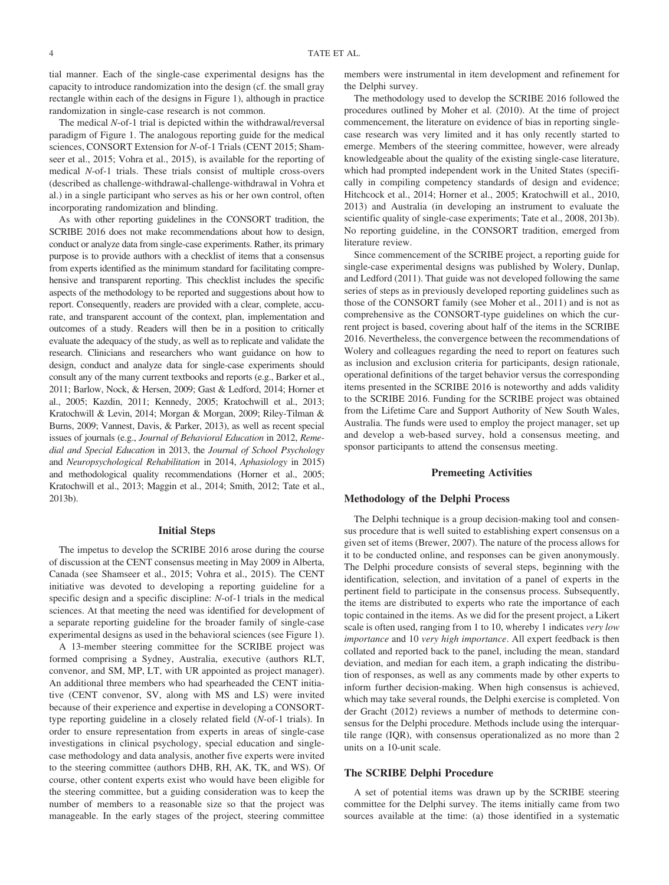tial manner. Each of the single-case experimental designs has the capacity to introduce randomization into the design (cf. the small gray rectangle within each of the designs in [Figure 1\)](#page-2-0), although in practice randomization in single-case research is not common.

The medical *N*-of-1 trial is depicted within the withdrawal/reversal paradigm of [Figure 1.](#page-2-0) The analogous reporting guide for the medical sciences, CONSORT Extension for *N*-of-1 Trials (CENT 2015; [Sham](#page-8-3)[seer et al., 2015;](#page-8-3) [Vohra et al., 2015\)](#page-8-4), is available for the reporting of medical *N*-of-1 trials. These trials consist of multiple cross-overs (described as challenge-withdrawal-challenge-withdrawal in Vohra et al.) in a single participant who serves as his or her own control, often incorporating randomization and blinding.

As with other reporting guidelines in the CONSORT tradition, the SCRIBE 2016 does not make recommendations about how to design, conduct or analyze data from single-case experiments. Rather, its primary purpose is to provide authors with a checklist of items that a consensus from experts identified as the minimum standard for facilitating comprehensive and transparent reporting. This checklist includes the specific aspects of the methodology to be reported and suggestions about how to report. Consequently, readers are provided with a clear, complete, accurate, and transparent account of the context, plan, implementation and outcomes of a study. Readers will then be in a position to critically evaluate the adequacy of the study, as well as to replicate and validate the research. Clinicians and researchers who want guidance on how to design, conduct and analyze data for single-case experiments should consult any of the many current textbooks and reports (e.g., [Barker et al.,](#page-7-2) [2011;](#page-7-2) [Barlow, Nock, & Hersen, 2009;](#page-7-1) [Gast & Ledford, 2014;](#page-8-19) [Horner et](#page-8-13) [al., 2005;](#page-8-13) [Kazdin, 2011;](#page-8-5) [Kennedy, 2005;](#page-8-20) [Kratochwill et al., 2013;](#page-8-14) [Kratochwill & Levin, 2014;](#page-8-21) [Morgan & Morgan, 2009;](#page-8-22) [Riley-Tilman &](#page-8-23) [Burns, 2009;](#page-8-23) [Vannest, Davis, & Parker, 2013\)](#page-8-24), as well as recent special issues of journals (e.g., *Journal of Behavioral Education* in 2012, *Remedial and Special Education* in 2013, the *Journal of School Psychology* and *Neuropsychological Rehabilitation* in 2014, *Aphasiology* in 2015) and methodological quality recommendations [\(Horner et al., 2005;](#page-8-13) [Kratochwill et al., 2013;](#page-8-14) [Maggin et al., 2014;](#page-8-15) [Smith, 2012;](#page-8-11) [Tate et al.,](#page-8-16) [2013b\)](#page-8-16).

#### **Initial Steps**

The impetus to develop the SCRIBE 2016 arose during the course of discussion at the CENT consensus meeting in May 2009 in Alberta, Canada (see [Shamseer et al., 2015;](#page-8-3) [Vohra et al., 2015\)](#page-8-4). The CENT initiative was devoted to developing a reporting guideline for a specific design and a specific discipline: *N*-of-1 trials in the medical sciences. At that meeting the need was identified for development of a separate reporting guideline for the broader family of single-case experimental designs as used in the behavioral sciences (see [Figure 1\)](#page-2-0).

A 13-member steering committee for the SCRIBE project was formed comprising a Sydney, Australia, executive (authors RLT, convenor, and SM, MP, LT, with UR appointed as project manager). An additional three members who had spearheaded the CENT initiative (CENT convenor, SV, along with MS and LS) were invited because of their experience and expertise in developing a CONSORTtype reporting guideline in a closely related field (*N*-of-1 trials). In order to ensure representation from experts in areas of single-case investigations in clinical psychology, special education and singlecase methodology and data analysis, another five experts were invited to the steering committee (authors DHB, RH, AK, TK, and WS). Of course, other content experts exist who would have been eligible for the steering committee, but a guiding consideration was to keep the number of members to a reasonable size so that the project was manageable. In the early stages of the project, steering committee

members were instrumental in item development and refinement for the Delphi survey.

The methodology used to develop the SCRIBE 2016 followed the procedures outlined by [Moher et al. \(2010\).](#page-8-25) At the time of project commencement, the literature on evidence of bias in reporting singlecase research was very limited and it has only recently started to emerge. Members of the steering committee, however, were already knowledgeable about the quality of the existing single-case literature, which had prompted independent work in the United States (specifically in compiling competency standards of design and evidence; [Hitchcock et al., 2014;](#page-8-26) [Horner et al., 2005;](#page-8-13) [Kratochwill et al., 2010,](#page-8-17) [2013\)](#page-8-14) and Australia (in developing an instrument to evaluate the scientific quality of single-case experiments; [Tate et al., 2008,](#page-8-27) [2013b\)](#page-8-16). No reporting guideline, in the CONSORT tradition, emerged from literature review.

Since commencement of the SCRIBE project, a reporting guide for single-case experimental designs was published by [Wolery, Dunlap,](#page-8-28) [and Ledford \(2011\).](#page-8-28) That guide was not developed following the same series of steps as in previously developed reporting guidelines such as those of the CONSORT family (see [Moher et al., 2011\)](#page-8-29) and is not as comprehensive as the CONSORT-type guidelines on which the current project is based, covering about half of the items in the SCRIBE 2016. Nevertheless, the convergence between the recommendations of Wolery and colleagues regarding the need to report on features such as inclusion and exclusion criteria for participants, design rationale, operational definitions of the target behavior versus the corresponding items presented in the SCRIBE 2016 is noteworthy and adds validity to the SCRIBE 2016. Funding for the SCRIBE project was obtained from the Lifetime Care and Support Authority of New South Wales, Australia. The funds were used to employ the project manager, set up and develop a web-based survey, hold a consensus meeting, and sponsor participants to attend the consensus meeting.

### **Premeeting Activities**

## **Methodology of the Delphi Process**

The Delphi technique is a group decision-making tool and consensus procedure that is well suited to establishing expert consensus on a given set of items [\(Brewer, 2007\)](#page-8-30). The nature of the process allows for it to be conducted online, and responses can be given anonymously. The Delphi procedure consists of several steps, beginning with the identification, selection, and invitation of a panel of experts in the pertinent field to participate in the consensus process. Subsequently, the items are distributed to experts who rate the importance of each topic contained in the items. As we did for the present project, a Likert scale is often used, ranging from 1 to 10, whereby 1 indicates *very low importance* and 10 *very high importance*. All expert feedback is then collated and reported back to the panel, including the mean, standard deviation, and median for each item, a graph indicating the distribution of responses, as well as any comments made by other experts to inform further decision-making. When high consensus is achieved, which may take several rounds, the Delphi exercise is completed. [Von](#page-8-31) [der Gracht \(2012\)](#page-8-31) reviews a number of methods to determine consensus for the Delphi procedure. Methods include using the interquartile range (IQR), with consensus operationalized as no more than 2 units on a 10-unit scale.

### **The SCRIBE Delphi Procedure**

A set of potential items was drawn up by the SCRIBE steering committee for the Delphi survey. The items initially came from two sources available at the time: (a) those identified in a systematic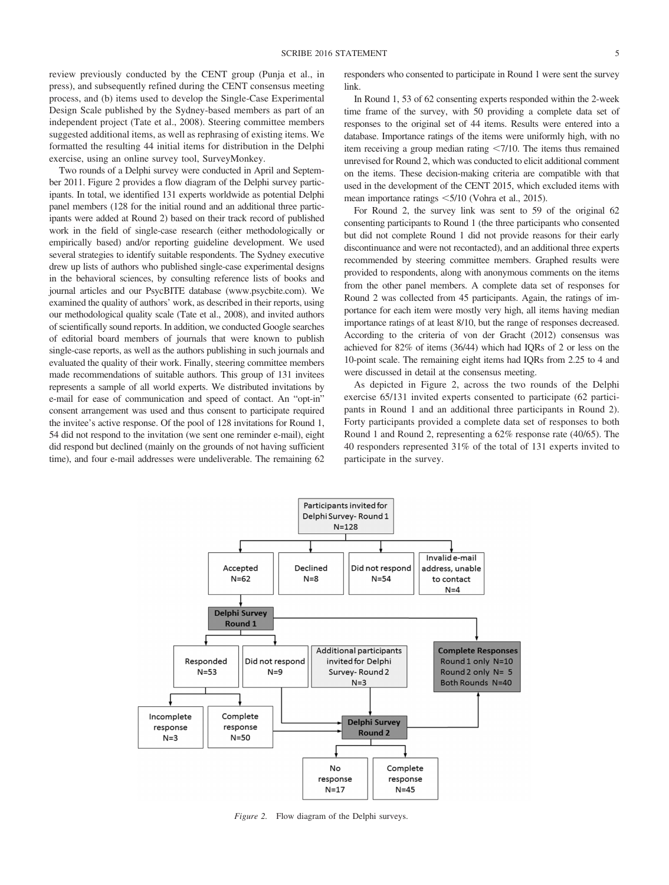review previously conducted by the CENT group [\(Punja et al., in](#page-8-32) [press\)](#page-8-32), and subsequently refined during the CENT consensus meeting process, and (b) items used to develop the Single-Case Experimental Design Scale published by the Sydney-based members as part of an independent project [\(Tate et al., 2008\)](#page-8-27). Steering committee members suggested additional items, as well as rephrasing of existing items. We formatted the resulting 44 initial items for distribution in the Delphi exercise, using an online survey tool, SurveyMonkey.

Two rounds of a Delphi survey were conducted in April and September 2011. [Figure 2](#page-4-0) provides a flow diagram of the Delphi survey participants. In total, we identified 131 experts worldwide as potential Delphi panel members (128 for the initial round and an additional three participants were added at Round 2) based on their track record of published work in the field of single-case research (either methodologically or empirically based) and/or reporting guideline development. We used several strategies to identify suitable respondents. The Sydney executive drew up lists of authors who published single-case experimental designs in the behavioral sciences, by consulting reference lists of books and journal articles and our PsycBITE database [\(www.psycbite.com\)](http://www.psycbite.com). We examined the quality of authors' work, as described in their reports, using our methodological quality scale [\(Tate et al., 2008\)](#page-8-27), and invited authors of scientifically sound reports. In addition, we conducted Google searches of editorial board members of journals that were known to publish single-case reports, as well as the authors publishing in such journals and evaluated the quality of their work. Finally, steering committee members made recommendations of suitable authors. This group of 131 invitees represents a sample of all world experts. We distributed invitations by e-mail for ease of communication and speed of contact. An "opt-in" consent arrangement was used and thus consent to participate required the invitee's active response. Of the pool of 128 invitations for Round 1, 54 did not respond to the invitation (we sent one reminder e-mail), eight did respond but declined (mainly on the grounds of not having sufficient time), and four e-mail addresses were undeliverable. The remaining 62

responders who consented to participate in Round 1 were sent the survey link.

In Round 1, 53 of 62 consenting experts responded within the 2-week time frame of the survey, with 50 providing a complete data set of responses to the original set of 44 items. Results were entered into a database. Importance ratings of the items were uniformly high, with no item receiving a group median rating <7/10. The items thus remained unrevised for Round 2, which was conducted to elicit additional comment on the items. These decision-making criteria are compatible with that used in the development of the CENT 2015, which excluded items with mean importance ratings <5/10 [\(Vohra et al., 2015\)](#page-8-4).

For Round 2, the survey link was sent to 59 of the original 62 consenting participants to Round 1 (the three participants who consented but did not complete Round 1 did not provide reasons for their early discontinuance and were not recontacted), and an additional three experts recommended by steering committee members. Graphed results were provided to respondents, along with anonymous comments on the items from the other panel members. A complete data set of responses for Round 2 was collected from 45 participants. Again, the ratings of importance for each item were mostly very high, all items having median importance ratings of at least 8/10, but the range of responses decreased. According to the criteria of [von der Gracht \(2012\)](#page-8-31) consensus was achieved for 82% of items (36/44) which had IQRs of 2 or less on the 10-point scale. The remaining eight items had IQRs from 2.25 to 4 and were discussed in detail at the consensus meeting.

As depicted in [Figure 2,](#page-4-0) across the two rounds of the Delphi exercise 65/131 invited experts consented to participate (62 participants in Round 1 and an additional three participants in Round 2). Forty participants provided a complete data set of responses to both Round 1 and Round 2, representing a 62% response rate (40/65). The 40 responders represented 31% of the total of 131 experts invited to participate in the survey.



<span id="page-4-0"></span>*Figure 2.* Flow diagram of the Delphi surveys.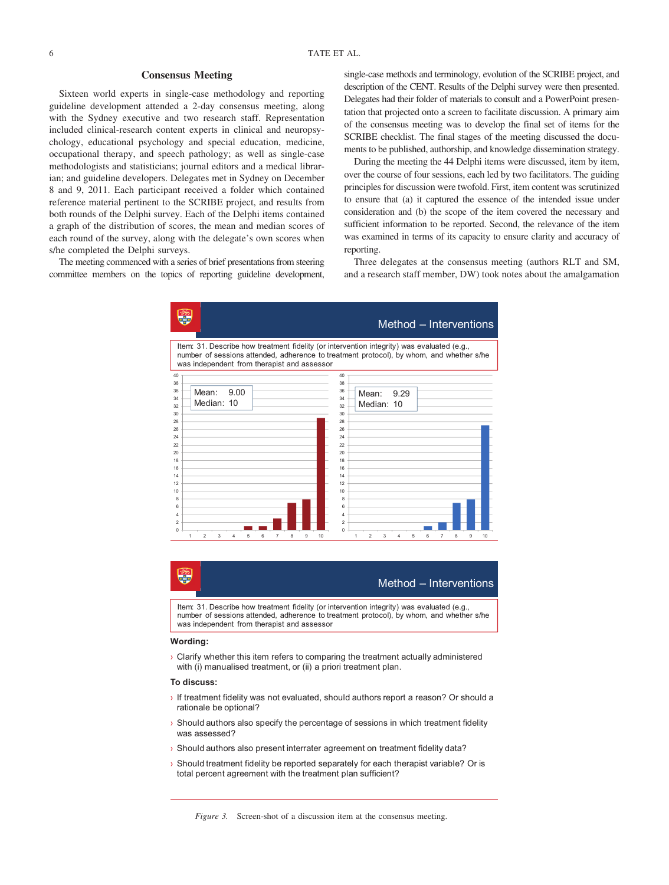## **Consensus Meeting**

Sixteen world experts in single-case methodology and reporting guideline development attended a 2-day consensus meeting, along with the Sydney executive and two research staff. Representation included clinical-research content experts in clinical and neuropsychology, educational psychology and special education, medicine, occupational therapy, and speech pathology; as well as single-case methodologists and statisticians; journal editors and a medical librarian; and guideline developers. Delegates met in Sydney on December 8 and 9, 2011. Each participant received a folder which contained reference material pertinent to the SCRIBE project, and results from both rounds of the Delphi survey. Each of the Delphi items contained a graph of the distribution of scores, the mean and median scores of each round of the survey, along with the delegate's own scores when s/he completed the Delphi surveys.

The meeting commenced with a series of brief presentations from steering committee members on the topics of reporting guideline development, single-case methods and terminology, evolution of the SCRIBE project, and description of the CENT. Results of the Delphi survey were then presented. Delegates had their folder of materials to consult and a PowerPoint presentation that projected onto a screen to facilitate discussion. A primary aim of the consensus meeting was to develop the final set of items for the SCRIBE checklist. The final stages of the meeting discussed the documents to be published, authorship, and knowledge dissemination strategy.

During the meeting the 44 Delphi items were discussed, item by item, over the course of four sessions, each led by two facilitators. The guiding principles for discussion were twofold. First, item content was scrutinized to ensure that (a) it captured the essence of the intended issue under consideration and (b) the scope of the item covered the necessary and sufficient information to be reported. Second, the relevance of the item was examined in terms of its capacity to ensure clarity and accuracy of reporting.

Three delegates at the consensus meeting (authors RLT and SM, and a research staff member, DW) took notes about the amalgamation



等 Method – Interventions

Item: 31. Describe how treatment fidelity (or intervention integrity) was evaluated (e.g., number of sessions attended, adherence to treatment protocol), by whom, and whether s/he was independent from therapist and assessor

#### **Wording:**

 $\rightarrow$  Clarify whether this item refers to comparing the treatment actually administered with (i) manualised treatment, or (ii) a priori treatment plan.

#### **To discuss:**

- › If treatment fidelity was not evaluated, should authors report a reason? Or should a rationale be optional?
- $\rightarrow$  Should authors also specify the percentage of sessions in which treatment fidelity was assessed?
- › Should authors also present interrater agreement on treatment fidelity data?
- › Should treatment fidelity be reported separately for each therapist variable? Or is total percent agreement with the treatment plan sufficient?

<span id="page-5-0"></span>*Figure 3.* Screen-shot of a discussion item at the consensus meeting.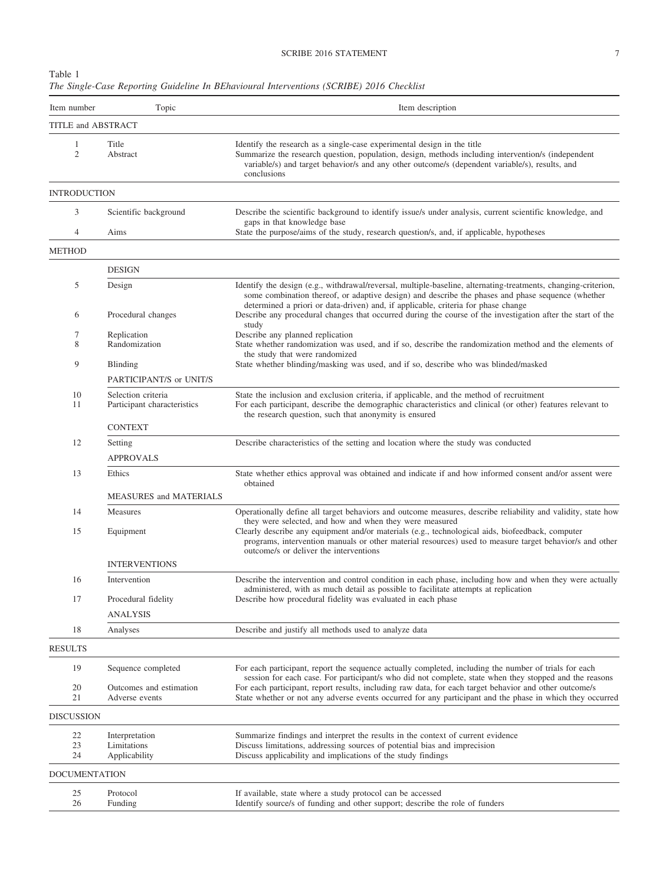<span id="page-6-0"></span>

|     | Table 1 |        |   |                   |  |   |  |
|-----|---------|--------|---|-------------------|--|---|--|
| T11 | $\sim$  | $\sim$ | n | $\alpha$ iii in n |  | ٠ |  |

|  |  |  |  |  |  | The Single-Case Reporting Guideline In BEhavioural Interventions (SCRIBE) 2016 Checklist |  |
|--|--|--|--|--|--|------------------------------------------------------------------------------------------|--|
|--|--|--|--|--|--|------------------------------------------------------------------------------------------|--|

| Item number               | Topic                                             | Item description                                                                                                                                                                                                                                                                                         |
|---------------------------|---------------------------------------------------|----------------------------------------------------------------------------------------------------------------------------------------------------------------------------------------------------------------------------------------------------------------------------------------------------------|
| <b>TITLE and ABSTRACT</b> |                                                   |                                                                                                                                                                                                                                                                                                          |
| 1<br>2                    | Title<br>Abstract                                 | Identify the research as a single-case experimental design in the title<br>Summarize the research question, population, design, methods including intervention/s (independent<br>variable/s) and target behavior/s and any other outcome/s (dependent variable/s), results, and<br>conclusions           |
| <b>INTRODUCTION</b>       |                                                   |                                                                                                                                                                                                                                                                                                          |
| 3                         | Scientific background                             | Describe the scientific background to identify issue/s under analysis, current scientific knowledge, and<br>gaps in that knowledge base                                                                                                                                                                  |
| $\overline{4}$            | Aims                                              | State the purpose/aims of the study, research question/s, and, if applicable, hypotheses                                                                                                                                                                                                                 |
| <b>METHOD</b>             |                                                   |                                                                                                                                                                                                                                                                                                          |
|                           | <b>DESIGN</b>                                     |                                                                                                                                                                                                                                                                                                          |
| 5                         | Design                                            | Identify the design (e.g., withdrawal/reversal, multiple-baseline, alternating-treatments, changing-criterion,<br>some combination thereof, or adaptive design) and describe the phases and phase sequence (whether<br>determined a priori or data-driven) and, if applicable, criteria for phase change |
| 6                         | Procedural changes                                | Describe any procedural changes that occurred during the course of the investigation after the start of the<br>study                                                                                                                                                                                     |
| 7<br>8                    | Replication<br>Randomization                      | Describe any planned replication<br>State whether randomization was used, and if so, describe the randomization method and the elements of                                                                                                                                                               |
| 9                         | Blinding                                          | the study that were randomized<br>State whether blinding/masking was used, and if so, describe who was blinded/masked                                                                                                                                                                                    |
|                           | PARTICIPANT/S or UNIT/S                           |                                                                                                                                                                                                                                                                                                          |
| 10<br>11                  | Selection criteria<br>Participant characteristics | State the inclusion and exclusion criteria, if applicable, and the method of recruitment<br>For each participant, describe the demographic characteristics and clinical (or other) features relevant to<br>the research question, such that anonymity is ensured                                         |
|                           | <b>CONTEXT</b>                                    |                                                                                                                                                                                                                                                                                                          |
| 12                        | Setting                                           | Describe characteristics of the setting and location where the study was conducted                                                                                                                                                                                                                       |
|                           | <b>APPROVALS</b>                                  |                                                                                                                                                                                                                                                                                                          |
| 13                        | Ethics                                            | State whether ethics approval was obtained and indicate if and how informed consent and/or assent were<br>obtained                                                                                                                                                                                       |
|                           | MEASURES and MATERIALS                            |                                                                                                                                                                                                                                                                                                          |
| 14                        | Measures                                          | Operationally define all target behaviors and outcome measures, describe reliability and validity, state how<br>they were selected, and how and when they were measured                                                                                                                                  |
| 15                        | Equipment                                         | Clearly describe any equipment and/or materials (e.g., technological aids, biofeedback, computer<br>programs, intervention manuals or other material resources) used to measure target behavior/s and other<br>outcome/s or deliver the interventions                                                    |
|                           | <b>INTERVENTIONS</b>                              |                                                                                                                                                                                                                                                                                                          |
| 16                        | Intervention                                      | Describe the intervention and control condition in each phase, including how and when they were actually<br>administered, with as much detail as possible to facilitate attempts at replication                                                                                                          |
| 17                        | Procedural fidelity                               | Describe how procedural fidelity was evaluated in each phase                                                                                                                                                                                                                                             |
|                           | <b>ANALYSIS</b>                                   |                                                                                                                                                                                                                                                                                                          |
| 18                        | Analyses                                          | Describe and justify all methods used to analyze data                                                                                                                                                                                                                                                    |
| <b>RESULTS</b>            |                                                   |                                                                                                                                                                                                                                                                                                          |
| 19                        | Sequence completed                                | For each participant, report the sequence actually completed, including the number of trials for each<br>session for each case. For participant/s who did not complete, state when they stopped and the reasons                                                                                          |
| 20<br>21                  | Outcomes and estimation<br>Adverse events         | For each participant, report results, including raw data, for each target behavior and other outcome/s<br>State whether or not any adverse events occurred for any participant and the phase in which they occurred                                                                                      |
| <b>DISCUSSION</b>         |                                                   |                                                                                                                                                                                                                                                                                                          |
| 22                        | Interpretation                                    | Summarize findings and interpret the results in the context of current evidence                                                                                                                                                                                                                          |
| 23                        | Limitations                                       | Discuss limitations, addressing sources of potential bias and imprecision                                                                                                                                                                                                                                |
| 24                        | Applicability                                     | Discuss applicability and implications of the study findings                                                                                                                                                                                                                                             |
| <b>DOCUMENTATION</b>      |                                                   |                                                                                                                                                                                                                                                                                                          |
| 25<br>26                  | Protocol<br>Funding                               | If available, state where a study protocol can be accessed<br>Identify source/s of funding and other support; describe the role of funders                                                                                                                                                               |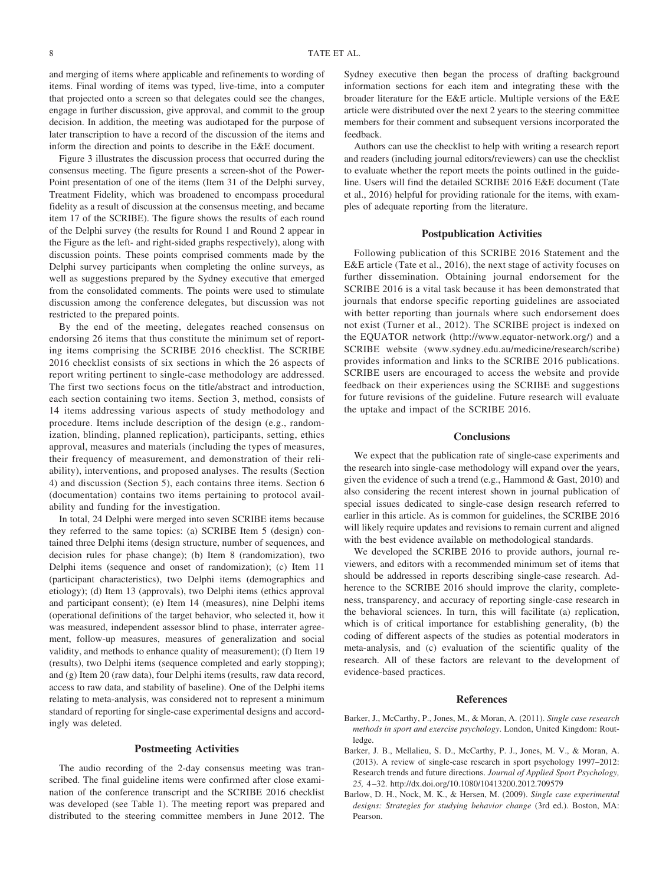and merging of items where applicable and refinements to wording of items. Final wording of items was typed, live-time, into a computer that projected onto a screen so that delegates could see the changes, engage in further discussion, give approval, and commit to the group decision. In addition, the meeting was audiotaped for the purpose of later transcription to have a record of the discussion of the items and inform the direction and points to describe in the E&E document.

[Figure 3](#page-5-0) illustrates the discussion process that occurred during the consensus meeting. The figure presents a screen-shot of the Power-Point presentation of one of the items (Item 31 of the Delphi survey, Treatment Fidelity, which was broadened to encompass procedural fidelity as a result of discussion at the consensus meeting, and became item 17 of the SCRIBE). The figure shows the results of each round of the Delphi survey (the results for Round 1 and Round 2 appear in the Figure as the left- and right-sided graphs respectively), along with discussion points. These points comprised comments made by the Delphi survey participants when completing the online surveys, as well as suggestions prepared by the Sydney executive that emerged from the consolidated comments. The points were used to stimulate discussion among the conference delegates, but discussion was not restricted to the prepared points.

By the end of the meeting, delegates reached consensus on endorsing 26 items that thus constitute the minimum set of reporting items comprising the SCRIBE 2016 checklist. The SCRIBE 2016 checklist consists of six sections in which the 26 aspects of report writing pertinent to single-case methodology are addressed. The first two sections focus on the title/abstract and introduction, each section containing two items. Section 3, method, consists of 14 items addressing various aspects of study methodology and procedure. Items include description of the design (e.g., randomization, blinding, planned replication), participants, setting, ethics approval, measures and materials (including the types of measures, their frequency of measurement, and demonstration of their reliability), interventions, and proposed analyses. The results (Section 4) and discussion (Section 5), each contains three items. Section 6 (documentation) contains two items pertaining to protocol availability and funding for the investigation.

In total, 24 Delphi were merged into seven SCRIBE items because they referred to the same topics: (a) SCRIBE Item 5 (design) contained three Delphi items (design structure, number of sequences, and decision rules for phase change); (b) Item 8 (randomization), two Delphi items (sequence and onset of randomization); (c) Item 11 (participant characteristics), two Delphi items (demographics and etiology); (d) Item 13 (approvals), two Delphi items (ethics approval and participant consent); (e) Item 14 (measures), nine Delphi items (operational definitions of the target behavior, who selected it, how it was measured, independent assessor blind to phase, interrater agreement, follow-up measures, measures of generalization and social validity, and methods to enhance quality of measurement); (f) Item 19 (results), two Delphi items (sequence completed and early stopping); and (g) Item 20 (raw data), four Delphi items (results, raw data record, access to raw data, and stability of baseline). One of the Delphi items relating to meta-analysis, was considered not to represent a minimum standard of reporting for single-case experimental designs and accordingly was deleted.

### **Postmeeting Activities**

The audio recording of the 2-day consensus meeting was transcribed. The final guideline items were confirmed after close examination of the conference transcript and the SCRIBE 2016 checklist was developed (see [Table 1\)](#page-6-0). The meeting report was prepared and distributed to the steering committee members in June 2012. The Sydney executive then began the process of drafting background information sections for each item and integrating these with the broader literature for the E&E article. Multiple versions of the E&E article were distributed over the next 2 years to the steering committee members for their comment and subsequent versions incorporated the feedback.

Authors can use the checklist to help with writing a research report and readers (including journal editors/reviewers) can use the checklist to evaluate whether the report meets the points outlined in the guideline. Users will find the detailed SCRIBE 2016 E&E document [\(Tate](#page-8-0) [et al., 2016\)](#page-8-0) helpful for providing rationale for the items, with examples of adequate reporting from the literature.

#### **Postpublication Activities**

Following publication of this SCRIBE 2016 Statement and the E&E article [\(Tate et al., 2016\)](#page-8-0), the next stage of activity focuses on further dissemination. Obtaining journal endorsement for the SCRIBE 2016 is a vital task because it has been demonstrated that journals that endorse specific reporting guidelines are associated with better reporting than journals where such endorsement does not exist [\(Turner et al., 2012\)](#page-8-1). The SCRIBE project is indexed on the EQUATOR network [\(http://www.equator-network.org/\)](http://www.equator-network.org/) and a SCRIBE website [\(www.sydney.edu.au/medicine/research/scribe\)](http://www.sydney.edu.au/medicine/research/scribe) provides information and links to the SCRIBE 2016 publications. SCRIBE users are encouraged to access the website and provide feedback on their experiences using the SCRIBE and suggestions for future revisions of the guideline. Future research will evaluate the uptake and impact of the SCRIBE 2016.

#### **Conclusions**

We expect that the publication rate of single-case experiments and the research into single-case methodology will expand over the years, given the evidence of such a trend (e.g., [Hammond & Gast, 2010\)](#page-8-33) and also considering the recent interest shown in journal publication of special issues dedicated to single-case design research referred to earlier in this article. As is common for guidelines, the SCRIBE 2016 will likely require updates and revisions to remain current and aligned with the best evidence available on methodological standards.

We developed the SCRIBE 2016 to provide authors, journal reviewers, and editors with a recommended minimum set of items that should be addressed in reports describing single-case research. Adherence to the SCRIBE 2016 should improve the clarity, completeness, transparency, and accuracy of reporting single-case research in the behavioral sciences. In turn, this will facilitate (a) replication, which is of critical importance for establishing generality, (b) the coding of different aspects of the studies as potential moderators in meta-analysis, and (c) evaluation of the scientific quality of the research. All of these factors are relevant to the development of evidence-based practices.

#### **References**

- <span id="page-7-2"></span>Barker, J., McCarthy, P., Jones, M., & Moran, A. (2011). *Single case research methods in sport and exercise psychology*. London, United Kingdom: Routledge.
- <span id="page-7-0"></span>Barker, J. B., Mellalieu, S. D., McCarthy, P. J., Jones, M. V., & Moran, A. (2013). A review of single-case research in sport psychology 1997–2012: Research trends and future directions. *Journal of Applied Sport Psychology, 25,* 4 –32.<http://dx.doi.org/10.1080/10413200.2012.709579>
- <span id="page-7-1"></span>Barlow, D. H., Nock, M. K., & Hersen, M. (2009). *Single case experimental designs: Strategies for studying behavior change* (3rd ed.). Boston, MA: Pearson.